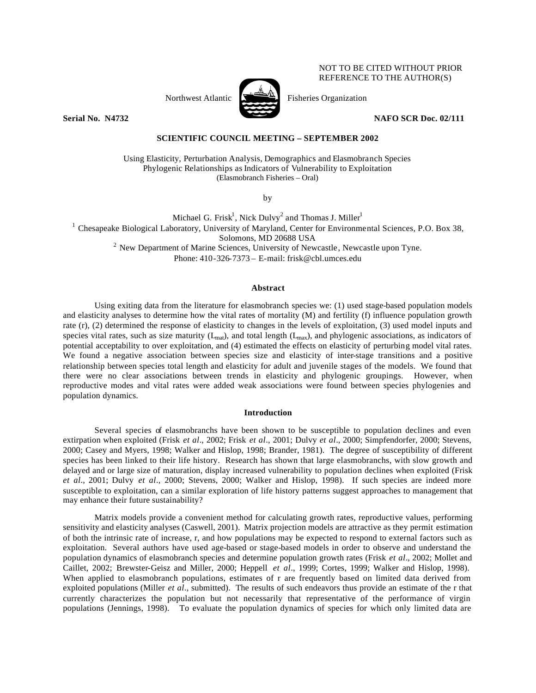# NOT TO BE CITED WITHOUT PRIOR REFERENCE TO THE AUTHOR(S)

Northwest Atlantic  $\sum_{n=1}^{\infty}$  Fisheries Organization



**Serial No. N4732 NAFO SCR Doc. 02/111** 

## **SCIENTIFIC COUNCIL MEETING – SEPTEMBER 2002**

Using Elasticity, Perturbation Analysis, Demographics and Elasmobranch Species Phylogenic Relationships as Indicators of Vulnerability to Exploitation (Elasmobranch Fisheries – Oral)

by

Michael G. Frisk<sup>1</sup>, Nick Dulvy<sup>2</sup> and Thomas J. Miller<sup>1</sup> <sup>1</sup> Chesapeake Biological Laboratory, University of Maryland, Center for Environmental Sciences, P.O. Box 38, Solomons, MD 20688 USA  $2$  New Department of Marine Sciences, University of Newcastle, Newcastle upon Tyne. Phone: 410-326-7373 – E-mail: frisk@cbl.umces.edu

## **Abstract**

Using exiting data from the literature for elasmobranch species we: (1) used stage-based population models and elasticity analyses to determine how the vital rates of mortality (M) and fertility (f) influence population growth rate (r), (2) determined the response of elasticity to changes in the levels of exploitation, (3) used model inputs and species vital rates, such as size maturity  $(L_{mat})$ , and total length  $(L_{max})$ , and phylogenic associations, as indicators of potential acceptability to over exploitation, and (4) estimated the effects on elasticity of perturbing model vital rates. We found a negative association between species size and elasticity of inter-stage transitions and a positive relationship between species total length and elasticity for adult and juvenile stages of the models. We found that there were no clear associations between trends in elasticity and phylogenic groupings. However, when reproductive modes and vital rates were added weak associations were found between species phylogenies and population dynamics.

#### **Introduction**

Several species of elasmobranchs have been shown to be susceptible to population declines and even extirpation when exploited (Frisk *et al*., 2002; Frisk *et al*., 2001; Dulvy *et al*., 2000; Simpfendorfer, 2000; Stevens, 2000; Casey and Myers, 1998; Walker and Hislop, 1998; Brander, 1981). The degree of susceptibility of different species has been linked to their life history. Research has shown that large elasmobranchs, with slow growth and delayed and or large size of maturation, display increased vulnerability to population declines when exploited (Frisk *et al*., 2001; Dulvy *et al*., 2000; Stevens, 2000; Walker and Hislop, 1998). If such species are indeed more susceptible to exploitation, can a similar exploration of life history patterns suggest approaches to management that may enhance their future sustainability?

Matrix models provide a convenient method for calculating growth rates, reproductive values, performing sensitivity and elasticity analyses (Caswell, 2001). Matrix projection models are attractive as they permit estimation of both the intrinsic rate of increase, r, and how populations may be expected to respond to external factors such as exploitation.Several authors have used age-based or stage-based models in order to observe and understand the population dynamics of elasmobranch species and determine population growth rates (Frisk *et al*., 2002; Mollet and Caillet, 2002; Brewster-Geisz and Miller, 2000; Heppell *et al*., 1999; Cortes, 1999; Walker and Hislop, 1998). When applied to elasmobranch populations, estimates of r are frequently based on limited data derived from exploited populations (Miller *et al*., submitted). The results of such endeavors thus provide an estimate of the r that currently characterizes the population but not necessarily that representative of the performance of virgin populations (Jennings, 1998). To evaluate the population dynamics of species for which only limited data are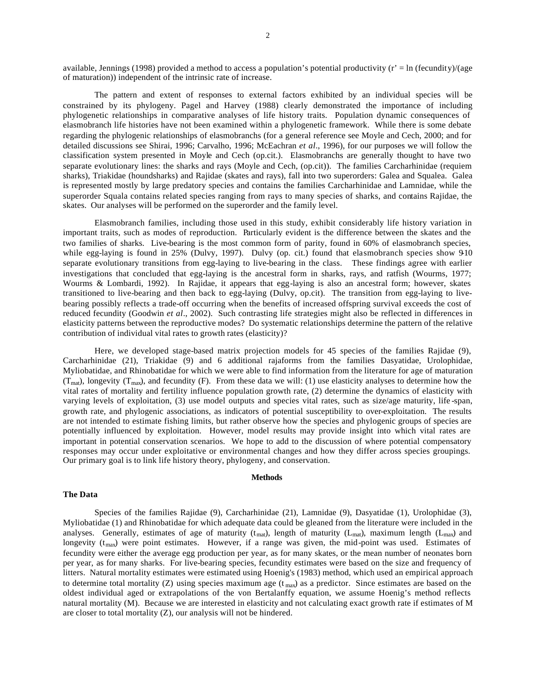available, Jennings (1998) provided a method to access a population's potential productivity ( $r' = \ln$  (fecundity)/(age of maturation)) independent of the intrinsic rate of increase.

The pattern and extent of responses to external factors exhibited by an individual species will be constrained by its phylogeny. Pagel and Harvey (1988) clearly demonstrated the importance of including phylogenetic relationships in comparative analyses of life history traits. Population dynamic consequences of elasmobranch life histories have not been examined within a phylogenetic framework. While there is some debate regarding the phylogenic relationships of elasmobranchs (for a general reference see Moyle and Cech, 2000; and for detailed discussions see Shirai, 1996; Carvalho, 1996; McEachran *et al*., 1996), for our purposes we will follow the classification system presented in Moyle and Cech (op.cit.). Elasmobranchs are generally thought to have two separate evolutionary lines: the sharks and rays (Moyle and Cech, (op.cit)). The families Carcharhinidae (requiem sharks), Triakidae (houndsharks) and Rajidae (skates and rays), fall into two superorders: Galea and Squalea. Galea is represented mostly by large predatory species and contains the families Carcharhinidae and Lamnidae, while the superorder Squala contains related species ranging from rays to many species of sharks, and contains Rajidae, the skates. Our analyses will be performed on the superorder and the family level.

Elasmobranch families, including those used in this study, exhibit considerably life history variation in important traits, such as modes of reproduction. Particularly evident is the difference between the skates and the two families of sharks. Live-bearing is the most common form of parity, found in 60% of elasmobranch species, while egg-laying is found in 25% (Dulvy, 1997). Dulvy (op. cit.) found that elasmobranch species show 9-10 separate evolutionary transitions from egg-laying to live-bearing in the class. These findings agree with earlier investigations that concluded that egg-laying is the ancestral form in sharks, rays, and ratfish (Wourms, 1977; Wourms & Lombardi, 1992). In Rajidae, it appears that egg-laying is also an ancestral form; however, skates transitioned to live-bearing and then back to egg-laying (Dulvy, op.cit). The transition from egg-laying to livebearing possibly reflects a trade-off occurring when the benefits of increased offspring survival exceeds the cost of reduced fecundity (Goodwin *et al*., 2002). Such contrasting life strategies might also be reflected in differences in elasticity patterns between the reproductive modes? Do systematic relationships determine the pattern of the relative contribution of individual vital rates to growth rates (elasticity)?

Here, we developed stage-based matrix projection models for 45 species of the families Rajidae (9), Carcharhinidae (21), Triakidae (9) and 6 additional rajaforms from the families Dasyatidae, Urolophidae, Myliobatidae, and Rhinobatidae for which we were able to find information from the literature for age of maturation  $(T<sub>mat</sub>)$ , longevity  $(T<sub>max</sub>)$ , and fecundity (F). From these data we will: (1) use elasticity analyses to determine how the vital rates of mortality and fertility influence population growth rate, (2) determine the dynamics of elasticity with varying levels of exploitation, (3) use model outputs and species vital rates, such as size/age maturity, life -span, growth rate, and phylogenic associations, as indicators of potential susceptibility to over-exploitation. The results are not intended to estimate fishing limits, but rather observe how the species and phylogenic groups of species are potentially influenced by exploitation. However, model results may provide insight into which vital rates are important in potential conservation scenarios. We hope to add to the discussion of where potential compensatory responses may occur under exploitative or environmental changes and how they differ across species groupings. Our primary goal is to link life history theory, phylogeny, and conservation.

#### **Methods**

## **The Data**

Species of the families Rajidae (9), Carcharhinidae (21), Lamnidae (9), Dasyatidae (1), Urolophidae (3), Myliobatidae (1) and Rhinobatidae for which adequate data could be gleaned from the literature were included in the analyses. Generally, estimates of age of maturity ( $t_{\text{mat}}$ ), length of maturity ( $L_{\text{mat}}$ ), maximum length ( $L_{\text{max}}$ ) and longevity  $(t_{\text{max}})$  were point estimates. However, if a range was given, the mid-point was used. Estimates of fecundity were either the average egg production per year, as for many skates, or the mean number of neonates born per year, as for many sharks. For live-bearing species, fecundity estimates were based on the size and frequency of litters. Natural mortality estimates were estimated using Hoenig's (1983) method, which used an empirical approach to determine total mortality (Z) using species maximum age  $(t_{\text{max}})$  as a predictor. Since estimates are based on the oldest individual aged or extrapolations of the von Bertalanffy equation, we assume Hoenig's method reflects natural mortality (M). Because we are interested in elasticity and not calculating exact growth rate if estimates of M are closer to total mortality (Z), our analysis will not be hindered.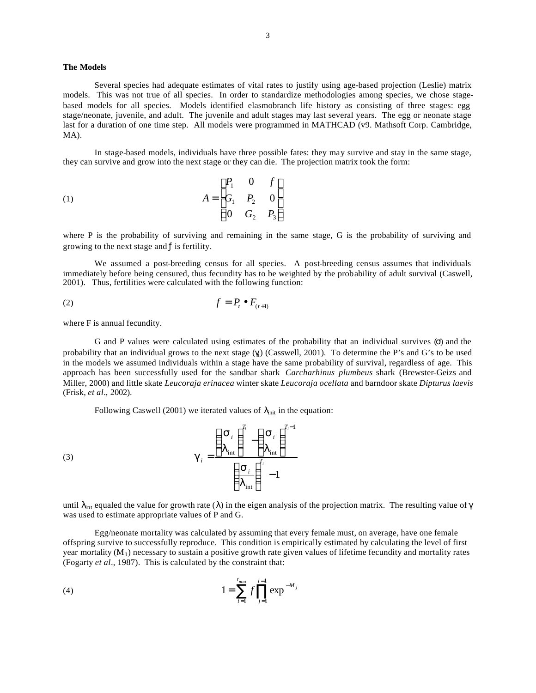## **The Models**

Several species had adequate estimates of vital rates to justify using age-based projection (Leslie) matrix models. This was not true of all species. In order to standardize methodologies among species, we chose stagebased models for all species. Models identified elasmobranch life history as consisting of three stages: egg stage/neonate, juvenile, and adult. The juvenile and adult stages may last several years. The egg or neonate stage last for a duration of one time step. All models were programmed in MATHCAD (v9. Mathsoft Corp. Cambridge, MA).

In stage-based models, individuals have three possible fates: they may survive and stay in the same stage, they can survive and grow into the next stage or they can die. The projection matrix took the form:

(1) 
$$
A = \begin{bmatrix} P_1 & 0 & f \\ G_1 & P_2 & 0 \\ 0 & G_2 & P_3 \end{bmatrix}
$$

where P is the probability of surviving and remaining in the same stage, G is the probability of surviving and growing to the next stage and  $f$  is fertility.

We assumed a post-breeding census for all species. A post-breeding census assumes that individuals immediately before being censured, thus fecundity has to be weighted by the probability of adult survival (Caswell, 2001). Thus, fertilities were calculated with the following function:

$$
(2) \t\t f = P_t \bullet F_{(t+1)}
$$

where F is annual fecundity.

G and P values were calculated using estimates of the probability that an individual survives (σ) and the probability that an individual grows to the next stage  $(\gamma_i)$  (Casswell, 2001). To determine the P's and G's to be used in the models we assumed individuals within a stage have the same probability of survival, regardless of age. This approach has been successfully used for the sandbar shark *Carcharhinus plumbeus* shark (Brewster-Geizs and Miller, 2000) and little skate *Leucoraja erinacea* winter skate *Leucoraja ocellata* and barndoor skate *Dipturus laevis* (Frisk, *et al*., 2002).

− *i i*

Following Caswell (2001) we iterated values of  $\lambda_{init}$  in the equation:

(3) 
$$
\mathbf{g}_{i} = \frac{\left(\frac{\mathbf{S}_{i}}{I_{\text{int}}}\right)^{t_{i}} - \left(\frac{\mathbf{S}_{i}}{I_{\text{int}}}\right)^{t_{i}}}{\left(\frac{\mathbf{S}_{i}}{I_{\text{int}}}\right)^{t_{i}} - 1}
$$

until  $\lambda_{int}$  equaled the value for growth rate ( $\lambda$ ) in the eigen analysis of the projection matrix. The resulting value of  $\gamma$ was used to estimate appropriate values of P and G.

int

*T*

l

 $\overline{\phantom{a}}$ 

1

 $\overline{\phantom{a}}$ 

 $\lambda$ 

*T*

1

Egg/neonate mortality was calculated by assuming that every female must, on average, have one female offspring survive to successfully reproduce. This condition is empirically estimated by calculating the level of first year mortality  $(M_1)$  necessary to sustain a positive growth rate given values of lifetime fecundity and mortality rates (Fogarty *et al*., 1987). This is calculated by the constraint that:

(4) 
$$
1 = \sum_{i=1}^{t_{max}} f \prod_{j=1}^{i=1} \exp^{-M_j}
$$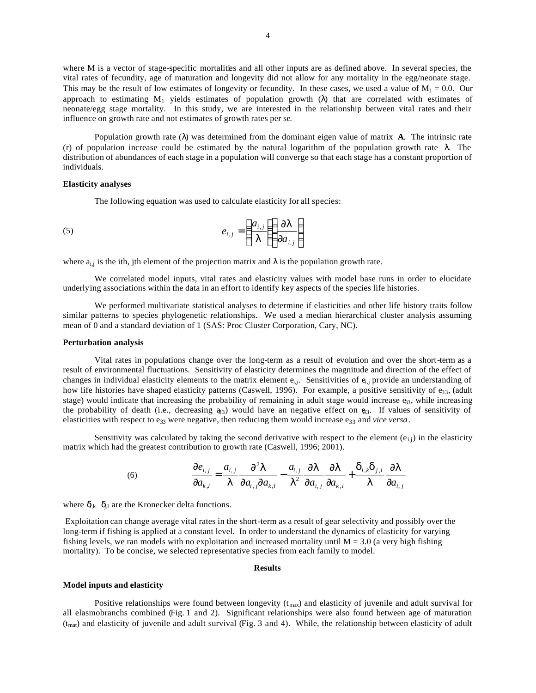where M is a vector of stage-specific mortalities and all other inputs are as defined above. In several species, the vital rates of fecundity, age of maturation and longevity did not allow for any mortality in the egg/neonate stage. This may be the result of low estimates of longevity or fecundity. In these cases, we used a value of  $M_1 = 0.0$ . Our approach to estimating  $M_1$  yields estimates of population growth ( $\lambda$ ) that are correlated with estimates of neonate/egg stage mortality. In this study, we are interested in the relationship between vital rates and their influence on growth rate and not estimates of growth rates per se*.* 

Population growth rate (λ) was determined from the dominant eigen value of matrix **A**. The intrinsic rate (r) of population increase could be estimated by the natural logarithm of the population growth rate  $\lambda$ . The distribution of abundances of each stage in a population will converge so that each stage has a constant proportion of individuals.

#### **Elasticity analyses**

The following equation was used to calculate elasticity for all species:

$$
e_{i,j} = \left(\frac{a_{i,j}}{I}\right)\left(\frac{\partial I}{\partial a_{i,j}}\right)
$$

where  $a_{i,j}$  is the ith, jth element of the projection matrix and  $\lambda$  is the population growth rate.

We correlated model inputs, vital rates and elasticity values with model base runs in order to elucidate underlying associations within the data in an effort to identify key aspects of the species life histories.

We performed multivariate statistical analyses to determine if elasticities and other life history traits follow similar patterns to species phylogenetic relationships. We used a median hierarchical cluster analysis assuming mean of 0 and a standard deviation of 1 (SAS: Proc Cluster Corporation, Cary, NC).

#### **Perturbation analysis**

Vital rates in populations change over the long-term as a result of evolution and over the short-term as a result of environmental fluctuations. Sensitivity of elasticity determines the magnitude and direction of the effect of changes in individual elasticity elements to the matrix element  $e_{i,j}$ . Sensitivities of  $e_{i,j}$  provide an understanding of how life histories have shaped elasticity patterns (Caswell, 1996). For example, a positive sensitivity of  $e_{33}$ , (adult stage) would indicate that increasing the probability of remaining in adult stage would increase  $e_{33}$ , while increasing the probability of death (i.e., decreasing  $a_{3}$ ) would have an negative effect on  $e_{3}$ . If values of sensitivity of elasticities with respect to e<sub>33</sub> were negative, then reducing them would increase e<sub>33</sub> and *vice versa*.

Sensitivity was calculated by taking the second derivative with respect to the element  $(e_{i,j})$  in the elasticity matrix which had the greatest contribution to growth rate (Caswell, 1996; 2001).

(6) 
$$
\frac{\partial e_{i,j}}{\partial a_{k,l}} = \frac{a_{i,j}}{I} \frac{\partial^2 I}{\partial a_{i,j} \partial a_{k,l}} - \frac{a_{i,j}}{I^2} \frac{\partial I}{\partial a_{i,j}} \frac{\partial I}{\partial a_{k,l}} + \frac{d_{i,k} d_{j,l}}{I} \frac{\partial I}{\partial a_{i,j}}
$$

where  $\delta_{ik}$   $\delta_{jl}$  are the Kronecker delta functions.

 Exploitation can change average vital rates in the short-term as a result of gear selectivity and possibly over the long-term if fishing is applied at a constant level. In order to understand the dynamics of elasticity for varying fishing levels, we ran models with no exploitation and increased mortality until  $M = 3.0$  (a very high fishing mortality). To be concise, we selected representative species from each family to model.

#### **Results**

#### **Model inputs and elasticity**

Positive relationships were found between longevity  $(t_{max})$  and elasticity of juvenile and adult survival for all elasmobranchs combined (Fig. 1 and 2). Significant relationships were also found between age of maturation  $(t<sub>mat</sub>)$  and elasticity of juvenile and adult survival (Fig. 3 and 4). While, the relationship between elasticity of adult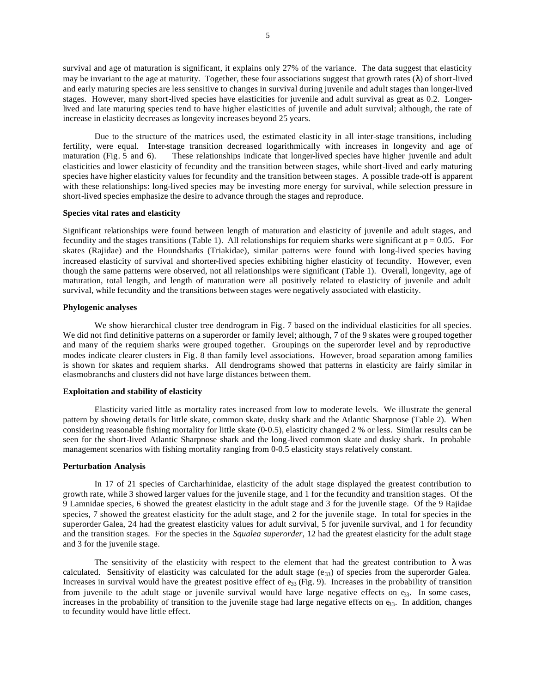survival and age of maturation is significant, it explains only 27% of the variance. The data suggest that elasticity may be invariant to the age at maturity. Together, these four associations suggest that growth rates  $(\lambda)$  of short-lived and early maturing species are less sensitive to changes in survival during juvenile and adult stages than longer-lived stages. However, many short-lived species have elasticities for juvenile and adult survival as great as 0.2. Longerlived and late maturing species tend to have higher elasticities of juvenile and adult survival; although, the rate of increase in elasticity decreases as longevity increases beyond 25 years.

Due to the structure of the matrices used, the estimated elasticity in all inter-stage transitions, including fertility, were equal. Inter-stage transition decreased logarithmically with increases in longevity and age of maturation (Fig. 5 and 6). These relationships indicate that longer-lived species have higher juvenile and adult elasticities and lower elasticity of fecundity and the transition between stages, while short-lived and early maturing species have higher elasticity values for fecundity and the transition between stages. A possible trade-off is apparent with these relationships: long-lived species may be investing more energy for survival, while selection pressure in short-lived species emphasize the desire to advance through the stages and reproduce.

## **Species vital rates and elasticity**

Significant relationships were found between length of maturation and elasticity of juvenile and adult stages, and fecundity and the stages transitions (Table 1). All relationships for requiem sharks were significant at  $p = 0.05$ . For skates (Rajidae) and the Houndsharks (Triakidae), similar patterns were found with long-lived species having increased elasticity of survival and shorter-lived species exhibiting higher elasticity of fecundity. However, even though the same patterns were observed, not all relationships were significant (Table 1). Overall, longevity, age of maturation, total length, and length of maturation were all positively related to elasticity of juvenile and adult survival, while fecundity and the transitions between stages were negatively associated with elasticity.

## **Phylogenic analyses**

We show hierarchical cluster tree dendrogram in Fig. 7 based on the individual elasticities for all species. We did not find definitive patterns on a superorder or family level; although, 7 of the 9 skates were g rouped together and many of the requiem sharks were grouped together. Groupings on the superorder level and by reproductive modes indicate clearer clusters in Fig. 8 than family level associations. However, broad separation among families is shown for skates and requiem sharks. All dendrograms showed that patterns in elasticity are fairly similar in elasmobranchs and clusters did not have large distances between them.

# **Exploitation and stability of elasticity**

Elasticity varied little as mortality rates increased from low to moderate levels. We illustrate the general pattern by showing details for little skate, common skate, dusky shark and the Atlantic Sharpnose (Table 2). When considering reasonable fishing mortality for little skate (0-0.5), elasticity changed 2 % or less. Similar results can be seen for the short-lived Atlantic Sharpnose shark and the long-lived common skate and dusky shark. In probable management scenarios with fishing mortality ranging from 0-0.5 elasticity stays relatively constant.

## **Perturbation Analysis**

In 17 of 21 species of Carcharhinidae, elasticity of the adult stage displayed the greatest contribution to growth rate, while 3 showed larger values for the juvenile stage, and 1 for the fecundity and transition stages. Of the 9 Lamnidae species, 6 showed the greatest elasticity in the adult stage and 3 for the juvenile stage. Of the 9 Rajidae species, 7 showed the greatest elasticity for the adult stage, and 2 for the juvenile stage. In total for species in the superorder Galea, 24 had the greatest elasticity values for adult survival, 5 for juvenile survival, and 1 for fecundity and the transition stages. For the species in the *Squalea superorder*, 12 had the greatest elasticity for the adult stage and 3 for the juvenile stage.

The sensitivity of the elasticity with respect to the element that had the greatest contribution to  $\lambda$  was calculated. Sensitivity of elasticity was calculated for the adult stage  $(e_{33})$  of species from the superorder Galea. Increases in survival would have the greatest positive effect of  $e_{33}$  (Fig. 9). Increases in the probability of transition from juvenile to the adult stage or juvenile survival would have large negative effects on  $e_{33}$ . In some cases, increases in the probability of transition to the juvenile stage had large negative effects on  $e_{33}$ . In addition, changes to fecundity would have little effect.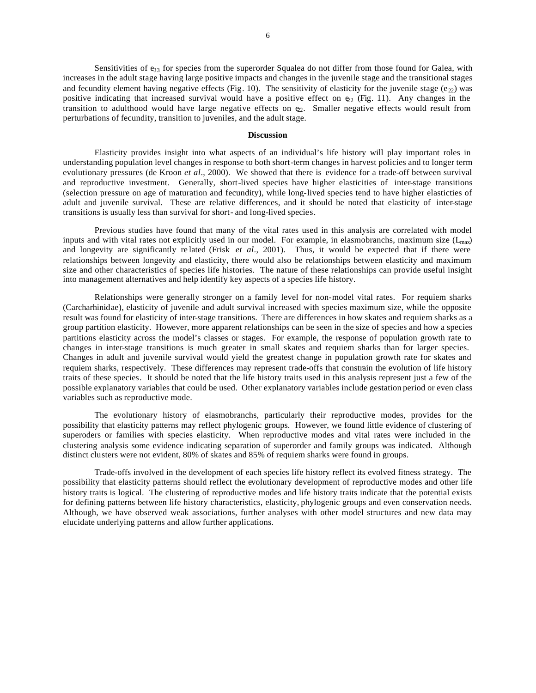Sensitivities of  $e_{33}$  for species from the superorder Squalea do not differ from those found for Galea, with increases in the adult stage having large positive impacts and changes in the juvenile stage and the transitional stages and fecundity element having negative effects (Fig. 10). The sensitivity of elasticity for the juvenile stage (e<sub>22</sub>) was positive indicating that increased survival would have a positive effect on  $\Theta_2$  (Fig. 11). Any changes in the transition to adulthood would have large negative effects on  $\Theta$ . Smaller negative effects would result from perturbations of fecundity, transition to juveniles, and the adult stage.

# **Discussion**

Elasticity provides insight into what aspects of an individual's life history will play important roles in understanding population level changes in response to both short-term changes in harvest policies and to longer term evolutionary pressures (de Kroon *et al*., 2000). We showed that there is evidence for a trade-off between survival and reproductive investment. Generally, short-lived species have higher elasticities of inter-stage transitions (selection pressure on age of maturation and fecundity), while long-lived species tend to have higher elasticties of adult and juvenile survival. These are relative differences, and it should be noted that elasticity of inter-stage transitions is usually less than survival for short- and long-lived species.

Previous studies have found that many of the vital rates used in this analysis are correlated with model inputs and with vital rates not explicitly used in our model. For example, in elasmobranchs, maximum size  $(L_{max})$ and longevity are significantly re lated (Frisk *et al*., 2001). Thus, it would be expected that if there were relationships between longevity and elasticity, there would also be relationships between elasticity and maximum size and other characteristics of species life histories. The nature of these relationships can provide useful insight into management alternatives and help identify key aspects of a species life history.

Relationships were generally stronger on a family level for non-model vital rates. For requiem sharks (Carcharhinidae), elasticity of juvenile and adult survival increased with species maximum size, while the opposite result was found for elasticity of inter-stage transitions. There are differences in how skates and requiem sharks as a group partition elasticity. However, more apparent relationships can be seen in the size of species and how a species partitions elasticity across the model's classes or stages. For example, the response of population growth rate to changes in inter-stage transitions is much greater in small skates and requiem sharks than for larger species. Changes in adult and juvenile survival would yield the greatest change in population growth rate for skates and requiem sharks, respectively. These differences may represent trade-offs that constrain the evolution of life history traits of these species*.* It should be noted that the life history traits used in this analysis represent just a few of the possible explanatory variables that could be used. Other explanatory variables include gestation period or even class variables such as reproductive mode.

The evolutionary history of elasmobranchs, particularly their reproductive modes, provides for the possibility that elasticity patterns may reflect phylogenic groups. However, we found little evidence of clustering of superoders or families with species elasticity. When reproductive modes and vital rates were included in the clustering analysis some evidence indicating separation of superorder and family groups was indicated. Although distinct clusters were not evident, 80% of skates and 85% of requiem sharks were found in groups.

Trade-offs involved in the development of each species life history reflect its evolved fitness strategy. The possibility that elasticity patterns should reflect the evolutionary development of reproductive modes and other life history traits is logical. The clustering of reproductive modes and life history traits indicate that the potential exists for defining patterns between life history characteristics, elasticity, phylogenic groups and even conservation needs. Although, we have observed weak associations, further analyses with other model structures and new data may elucidate underlying patterns and allow further applications.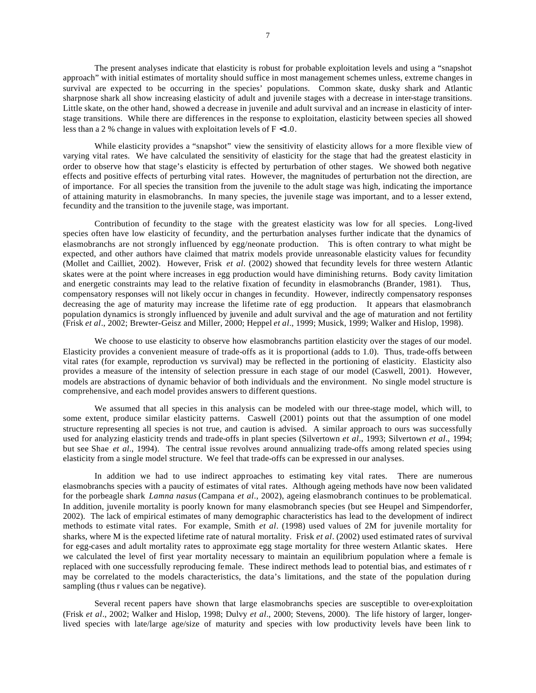7

The present analyses indicate that elasticity is robust for probable exploitation levels and using a "snapshot approach" with initial estimates of mortality should suffice in most management schemes unless, extreme changes in survival are expected to be occurring in the species' populations. Common skate, dusky shark and Atlantic sharpnose shark all show increasing elasticity of adult and juvenile stages with a decrease in inter-stage transitions. Little skate, on the other hand, showed a decrease in juvenile and adult survival and an increase in elasticity of interstage transitions. While there are differences in the response to exploitation, elasticity between species all showed less than a 2 % change in values with exploitation levels of F <1.0.

While elasticity provides a "snapshot" view the sensitivity of elasticity allows for a more flexible view of varying vital rates. We have calculated the sensitivity of elasticity for the stage that had the greatest elasticity in order to observe how that stage's elasticity is effected by perturbation of other stages. We showed both negative effects and positive effects of perturbing vital rates. However, the magnitudes of perturbation not the direction, are of importance. For all species the transition from the juvenile to the adult stage was high, indicating the importance of attaining maturity in elasmobranchs. In many species, the juvenile stage was important, and to a lesser extend, fecundity and the transition to the juvenile stage, was important.

Contribution of fecundity to the stage with the greatest elasticity was low for all species. Long-lived species often have low elasticity of fecundity, and the perturbation analyses further indicate that the dynamics of elasmobranchs are not strongly influenced by egg/neonate production. This is often contrary to what might be expected, and other authors have claimed that matrix models provide unreasonable elasticity values for fecundity (Mollet and Cailliet, 2002). However, Frisk *et al*. (2002) showed that fecundity levels for three western Atlantic skates were at the point where increases in egg production would have diminishing returns. Body cavity limitation and energetic constraints may lead to the relative fixation of fecundity in elasmobranchs (Brander, 1981). Thus, compensatory responses will not likely occur in changes in fecundity. However, indirectly compensatory responses decreasing the age of maturity may increase the lifetime rate of egg production. It appears that elasmobranch population dynamics is strongly influenced by juvenile and adult survival and the age of maturation and not fertility (Frisk *et al*., 2002; Brewter-Geisz and Miller, 2000; Heppel *et al*., 1999; Musick, 1999; Walker and Hislop, 1998).

We choose to use elasticity to observe how elasmobranchs partition elasticity over the stages of our model. Elasticity provides a convenient measure of trade-offs as it is proportional (adds to 1.0). Thus, trade-offs between vital rates (for example, reproduction vs survival) may be reflected in the portioning of elasticity. Elasticity also provides a measure of the intensity of selection pressure in each stage of our model (Caswell, 2001). However, models are abstractions of dynamic behavior of both individuals and the environment. No single model structure is comprehensive, and each model provides answers to different questions.

We assumed that all species in this analysis can be modeled with our three-stage model, which will, to some extent, produce similar elasticity patterns. Caswell (2001) points out that the assumption of one model structure representing all species is not true, and caution is advised. A similar approach to ours was successfully used for analyzing elasticity trends and trade-offs in plant species (Silvertown *et al*., 1993; Silvertown *et al*., 1994; but see Shae *et al*., 1994). The central issue revolves around annualizing trade-offs among related species using elasticity from a single model structure. We feel that trade-offs can be expressed in our analyses.

In addition we had to use indirect approaches to estimating key vital rates. There are numerous elasmobranchs species with a paucity of estimates of vital rates. Although ageing methods have now been validated for the porbeagle shark *Lamna nasus* (Campana *et al*., 2002), ageing elasmobranch continues to be problematical. In addition, juvenile mortality is poorly known for many elasmobranch species (but see Heupel and Simpendorfer, 2002). The lack of empirical estimates of many demographic characteristics has lead to the development of indirect methods to estimate vital rates. For example, Smith *et al*. (1998) used values of 2M for juvenile mortality for sharks, where M is the expected lifetime rate of natural mortality. Frisk *et al*. (2002) used estimated rates of survival for egg-cases and adult mortality rates to approximate egg stage mortality for three western Atlantic skates. Here we calculated the level of first year mortality necessary to maintain an equilibrium population where a female is replaced with one successfully reproducing female. These indirect methods lead to potential bias, and estimates of r may be correlated to the models characteristics, the data's limitations, and the state of the population during sampling (thus r values can be negative).

Several recent papers have shown that large elasmobranchs species are susceptible to over-exploitation (Frisk *et al*., 2002; Walker and Hislop, 1998; Dulvy *et al*., 2000; Stevens, 2000). The life history of larger, longerlived species with late/large age/size of maturity and species with low productivity levels have been link to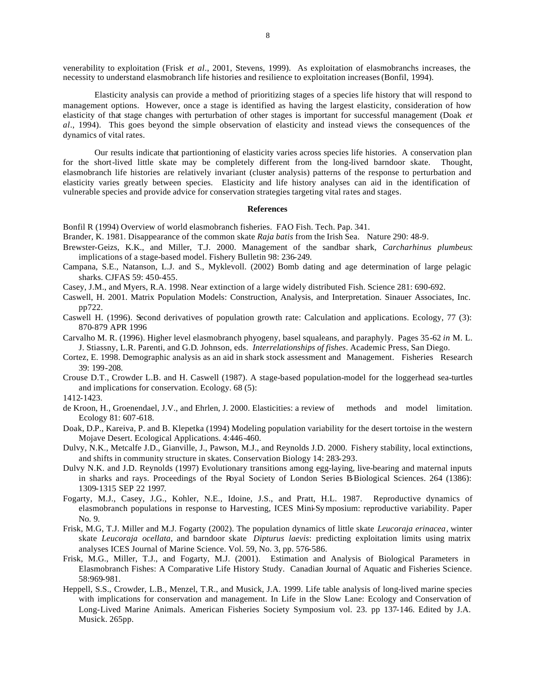venerability to exploitation (Frisk *et al*., 2001, Stevens, 1999). As exploitation of elasmobranchs increases, the necessity to understand elasmobranch life histories and resilience to exploitation increases (Bonfil, 1994).

Elasticity analysis can provide a method of prioritizing stages of a species life history that will respond to management options. However, once a stage is identified as having the largest elasticity, consideration of how elasticity of that stage changes with perturbation of other stages is important for successful management (Doak *et al*., 1994). This goes beyond the simple observation of elasticity and instead views the consequences of the dynamics of vital rates.

Our results indicate that partiontioning of elasticity varies across species life histories. A conservation plan for the short-lived little skate may be completely different from the long-lived barndoor skate. Thought, elasmobranch life histories are relatively invariant (cluster analysis) patterns of the response to perturbation and elasticity varies greatly between species. Elasticity and life history analyses can aid in the identification of vulnerable species and provide advice for conservation strategies targeting vital rates and stages.

#### **References**

Bonfil R (1994) Overview of world elasmobranch fisheries. FAO Fish. Tech. Pap. 341.

Brander, K. 1981. Disappearance of the common skate *Raja batis* from the Irish Sea. Nature 290: 48-9.

- Brewster-Geizs, K.K., and Miller, T.J. 2000. Management of the sandbar shark, *Carcharhinus plumbeus*: implications of a stage-based model. Fishery Bulletin 98: 236-249.
- Campana, S.E., Natanson, L.J. and S., Myklevoll. (2002) Bomb dating and age determination of large pelagic sharks. CJFAS 59: 450-455.
- Casey, J.M., and Myers, R.A. 1998. Near extinction of a large widely distributed Fish. Science 281: 690-692.
- Caswell, H. 2001. Matrix Population Models: Construction, Analysis, and Interpretation. Sinauer Associates, Inc. pp722.
- Caswell H. (1996). Second derivatives of population growth rate: Calculation and applications. Ecology, 77 (3): 870-879 APR 1996
- Carvalho M. R. (1996). Higher level elasmobranch phyogeny, basel squaleans, and paraphyly. Pages 35-62 *in* M. L. J. Stiassny, L.R. Parenti, and G.D. Johnson, eds. *Interrelationships of fishes*. Academic Press, San Diego.
- Cortez, E. 1998. Demographic analysis as an aid in shark stock assessment and Management. Fisheries Research 39: 199-208.
- Crouse D.T., Crowder L.B. and H. Caswell (1987). A stage-based population-model for the loggerhead sea-turtles and implications for conservation. Ecology. 68 (5):

1412-1423.

- de Kroon, H., Groenendael, J.V., and Ehrlen, J. 2000. Elasticities: a review of methods and model limitation. Ecology 81: 607-618.
- Doak, D.P., Kareiva, P. and B. Klepetka (1994) Modeling population variability for the desert tortoise in the western Mojave Desert. Ecological Applications. 4:446-460.
- Dulvy, N.K., Metcalfe J.D., Gianville, J., Pawson, M.J., and Reynolds J.D. 2000. Fishery stability, local extinctions, and shifts in community structure in skates. Conservation Biology 14: 283-293.
- Dulvy N.K. and J.D. Reynolds (1997) Evolutionary transitions among egg-laying, live-bearing and maternal inputs in sharks and rays. Proceedings of the Royal Society of London Series B-Biological Sciences. 264 (1386): 1309-1315 SEP 22 1997.
- Fogarty, M.J., Casey, J.G., Kohler, N.E., Idoine, J.S., and Pratt, H.L. 1987. Reproductive dynamics of elasmobranch populations in response to Harvesting, ICES Mini-Symposium: reproductive variability. Paper No. 9.
- Frisk, M.G, T.J. Miller and M.J. Fogarty (2002). The population dynamics of little skate *Leucoraja erinacea*, winter skate *Leucoraja ocellata*, and barndoor skate *Dipturus laevis*: predicting exploitation limits using matrix analyses ICES Journal of Marine Science. Vol. 59, No. 3, pp. 576-586.
- Frisk, M.G., Miller, T.J., and Fogarty, M.J. (2001). Estimation and Analysis of Biological Parameters in Elasmobranch Fishes: A Comparative Life History Study. Canadian Journal of Aquatic and Fisheries Science. 58:969-981.
- Heppell, S.S., Crowder, L.B., Menzel, T.R., and Musick, J.A. 1999. Life table analysis of long-lived marine species with implications for conservation and management. In Life in the Slow Lane: Ecology and Conservation of Long-Lived Marine Animals. American Fisheries Society Symposium vol. 23. pp 137-146. Edited by J.A. Musick. 265pp.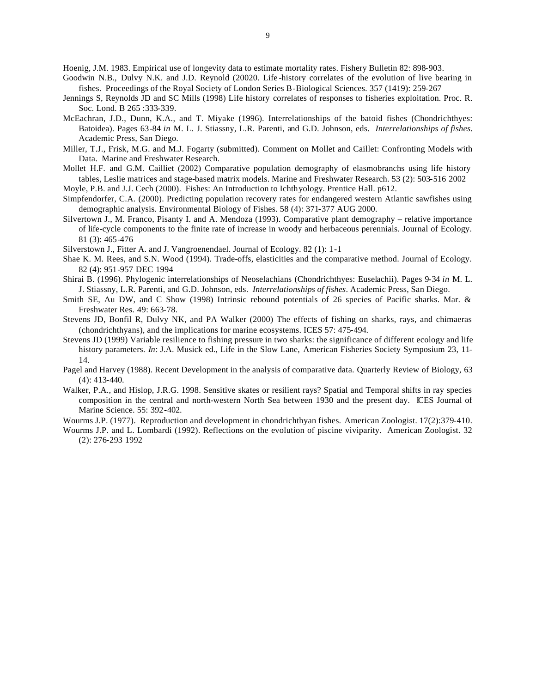Hoenig, J.M. 1983. Empirical use of longevity data to estimate mortality rates. Fishery Bulletin 82: 898-903.

- Goodwin N.B., Dulvy N.K. and J.D. Reynold (20020. Life -history correlates of the evolution of live bearing in fishes. Proceedings of the Royal Society of London Series B-Biological Sciences. 357 (1419): 259-267
- Jennings S, Reynolds JD and SC Mills (1998) Life history correlates of responses to fisheries exploitation. Proc. R. Soc. Lond. B 265 :333-339.
- McEachran, J.D., Dunn, K.A., and T. Miyake (1996). Interrelationships of the batoid fishes (Chondrichthyes: Batoidea). Pages 63-84 *in* M. L. J. Stiassny, L.R. Parenti, and G.D. Johnson, eds. *Interrelationships of fishes*. Academic Press, San Diego.
- Miller, T.J., Frisk, M.G. and M.J. Fogarty (submitted). Comment on Mollet and Caillet: Confronting Models with Data. Marine and Freshwater Research.
- Mollet H.F. and G.M. Cailliet (2002) Comparative population demography of elasmobranchs using life history tables, Leslie matrices and stage-based matrix models. Marine and Freshwater Research. 53 (2): 503-516 2002

Moyle, P.B. and J.J. Cech (2000). Fishes: An Introduction to Ichthyology. Prentice Hall. p612.

- Simpfendorfer, C.A. (2000). Predicting population recovery rates for endangered western Atlantic sawfishes using demographic analysis. Environmental Biology of Fishes. 58 (4): 371-377 AUG 2000.
- Silvertown J., M. Franco, Pisanty I. and A. Mendoza (1993). Comparative plant demography relative importance of life-cycle components to the finite rate of increase in woody and herbaceous perennials. Journal of Ecology. 81 (3): 465-476
- Silverstown J., Fitter A. and J. Vangroenendael. Journal of Ecology. 82 (1): 1-1
- Shae K. M. Rees, and S.N. Wood (1994). Trade-offs, elasticities and the comparative method. Journal of Ecology. 82 (4): 951-957 DEC 1994
- Shirai B. (1996). Phylogenic interrelationships of Neoselachians (Chondrichthyes: Euselachii). Pages 9-34 *in* M. L. J. Stiassny, L.R. Parenti, and G.D. Johnson, eds. *Interrelationships of fishes*. Academic Press, San Diego.
- Smith SE, Au DW, and C Show (1998) Intrinsic rebound potentials of 26 species of Pacific sharks. Mar. & Freshwater Res. 49: 663-78.
- Stevens JD, Bonfil R, Dulvy NK, and PA Walker (2000) The effects of fishing on sharks, rays, and chimaeras (chondrichthyans), and the implications for marine ecosystems. ICES 57: 475-494.
- Stevens JD (1999) Variable resilience to fishing pressure in two sharks: the significance of different ecology and life history parameters. *In*: J.A. Musick ed., Life in the Slow Lane, American Fisheries Society Symposium 23, 11- 14.
- Pagel and Harvey (1988). Recent Development in the analysis of comparative data. Quarterly Review of Biology, 63 (4): 413-440.
- Walker, P.A., and Hislop, J.R.G. 1998. Sensitive skates or resilient rays? Spatial and Temporal shifts in ray species composition in the central and north-western North Sea between 1930 and the present day. ICES Journal of Marine Science. 55: 392-402.

Wourms J.P. (1977). Reproduction and development in chondrichthyan fishes. American Zoologist. 17(2):379-410.

Wourms J.P. and L. Lombardi (1992). Reflections on the evolution of piscine viviparity. American Zoologist. 32 (2): 276-293 1992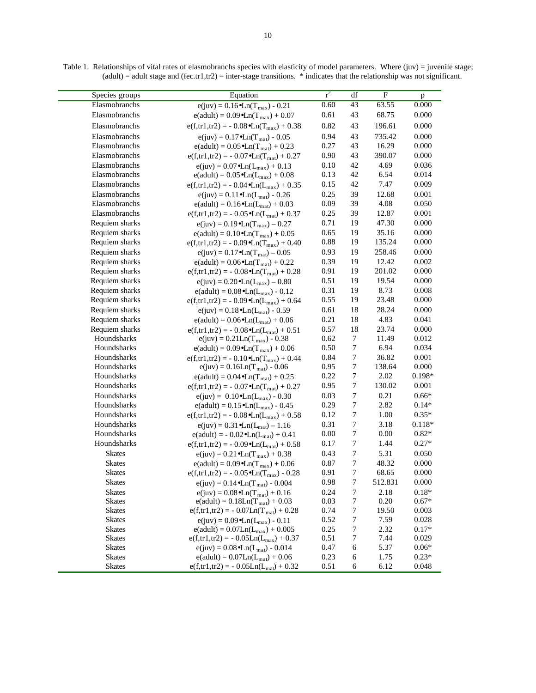| Species groups                 | Equation                                                                               | $r^2$        | df               | $\mathbf F$    | p                |
|--------------------------------|----------------------------------------------------------------------------------------|--------------|------------------|----------------|------------------|
| Elasmobranchs                  | $e(iuv) = 0.16 \cdot Ln(T_{max}) - 0.21$                                               | 0.60         | 43               | 63.55          | 0.000            |
| Elasmobranchs                  | $e(adult) = 0.09 \cdot Ln(T_{max}) + 0.07$                                             | 0.61         | 43               | 68.75          | 0.000            |
| Elasmobranchs                  | $e(f,tr1, tr2) = -0.08 \cdot Ln(T_{max}) + 0.38$                                       | 0.82         | 43               | 196.61         | 0.000            |
| Elasmobranchs                  | $e(iuv) = 0.17 \cdot Ln(T_{mat}) - 0.05$                                               | 0.94         | 43               | 735.42         | 0.000            |
| Elasmobranchs                  | $e(adult) = 0.05 \cdot Ln(T_{mat}) + 0.23$                                             | 0.27         | 43               | 16.29          | 0.000            |
| Elasmobranchs                  | $e(f,tr1, tr2) = -0.07 \cdot Ln(T_{mat}) + 0.27$                                       | 0.90         | 43               | 390.07         | 0.000            |
| Elasmobranchs                  | $e(iuv) = 0.07 \cdot Ln(L_{max}) + 0.13$                                               | 0.10         | 42               | 4.69           | 0.036            |
| Elasmobranchs                  | $e(adult) = 0.05 \cdot Ln(L_{max}) + 0.08$                                             | 0.13         | 42               | 6.54           | 0.014            |
| Elasmobranchs                  | $e(f,tr1, tr2) = -0.04 \cdot Ln(L_{max}) + 0.35$                                       | 0.15         | 42               | 7.47           | 0.009            |
| Elasmobranchs                  | $e(iuv) = 0.11 \cdot Ln(L_{mat}) - 0.26$                                               | 0.25         | 39               | 12.68          | 0.001            |
| Elasmobranchs                  | $e(adult) = 0.16 \cdot Ln(L_{mat}) + 0.03$                                             | 0.09         | 39               | 4.08           | 0.050            |
| Elasmobranchs                  | $e(f,tr1, tr2) = -0.05 \cdot Ln(L_{mat}) + 0.37$                                       | 0.25         | 39               | 12.87          | 0.001            |
| Requiem sharks                 | $e(iuv) = 0.19 \cdot Ln(T_{max}) - 0.27$                                               | 0.71         | 19               | 47.30          | 0.000            |
| Requiem sharks                 | $e(adult) = 0.10 \cdot Ln(T_{max}) + 0.05$                                             | 0.65         | 19               | 35.16          | 0.000            |
| Requiem sharks                 | $e(f,tr1, tr2) = -0.09 \cdot Ln(T_{max}) + 0.40$                                       | 0.88         | 19               | 135.24         | 0.000            |
| Requiem sharks                 |                                                                                        | 0.93         | 19               | 258.46         | 0.000            |
| Requiem sharks                 | $e(juv) = 0.17 \cdot Ln(T_{mat}) - 0.05$                                               | 0.39         | 19               | 12.42          | 0.002            |
| Requiem sharks                 | $e(\text{adult}) = 0.06 \cdot \text{Ln}(T_{\text{mat}}) + 0.22$                        | 0.91         | 19               | 201.02         | 0.000            |
| Requiem sharks                 | $e(f,tr1, tr2) = -0.08 \cdot Ln(T_{mat}) + 0.28$                                       | 0.51         | 19               | 19.54          | 0.000            |
| Requiem sharks                 | $e(juv) = 0.20 \cdot Ln(L_{max}) - 0.80$                                               | 0.31         | 19               | 8.73           | 0.008            |
| Requiem sharks                 | $e(adult) = 0.08 \cdot Ln(L_{max}) - 0.12$                                             | 0.55         | 19               | 23.48          | 0.000            |
| Requiem sharks                 | $e(f,tr1, tr2) = -0.09 \cdot Ln(L_{max}) + 0.64$                                       | 0.61         | 18               | 28.24          | 0.000            |
| Requiem sharks                 | $e(juv) = 0.18 \cdot Ln(L_{mat}) - 0.59$                                               | 0.21         | 18               | 4.83           | 0.041            |
| Requiem sharks                 | $e(adult) = 0.06 \cdot Ln(L_{mat}) + 0.06$                                             | 0.57         | 18               | 23.74          |                  |
| Houndsharks                    | $e(f,tr1, tr2) = -0.08 \cdot Ln(L_{mat}) + 0.51$                                       | 0.62         | $\tau$           | 11.49          | 0.000<br>0.012   |
| Houndsharks                    | $e(juv) = 0.21Ln(Tmax) - 0.38$                                                         | 0.50         | $\boldsymbol{7}$ | 6.94           | 0.034            |
| Houndsharks                    | $e(adult) = 0.09 \cdot Ln(T_{max}) + 0.06$                                             | 0.84         | 7                | 36.82          | 0.001            |
| Houndsharks                    | $e(f,tr1, tr2) = -0.10 \cdot Ln(T_{max}) + 0.44$<br>$e(iuv) = 0.16Ln(T_{mat}) - 0.06$  | 0.95         | 7                | 138.64         | 0.000            |
| Houndsharks                    | $e(adult) = 0.04 \cdot Ln(T_{mat}) + 0.25$                                             | 0.22         | $\tau$           | 2.02           | $0.198*$         |
| Houndsharks                    | $e(f,tr1, tr2) = -0.07 \cdot Ln(T_{mat}) + 0.27$                                       | 0.95         | $\boldsymbol{7}$ | 130.02         | 0.001            |
| Houndsharks                    |                                                                                        | 0.03         | $\tau$           | 0.21           | $0.66*$          |
| Houndsharks                    | $e(iuv) = 0.10 \cdot Ln(L_{max}) - 0.30$<br>$e(adult) = 0.15 \cdot Ln(L_{max}) - 0.45$ | 0.29         | 7                | 2.82           | $0.14*$          |
| Houndsharks                    | $e(f,tr1, tr2) = -0.08 \cdot Ln(L_{max}) + 0.58$                                       | 0.12         | $\tau$           | 1.00           | $0.35*$          |
| Houndsharks                    | $e(iuv) = 0.31 \cdot Ln(L_{mat}) - 1.16$                                               | 0.31         | $\tau$           | 3.18           | $0.118*$         |
| Houndsharks                    | $e(adult) = -0.02 \cdot Ln(L_{mat}) + 0.41$                                            | 0.00         | $\tau$           | 0.00           | $0.82*$          |
| Houndsharks                    |                                                                                        | 0.17         | $\boldsymbol{7}$ | 1.44           | $0.27*$          |
| <b>Skates</b>                  | $e(f,tr1, tr2) = -0.09 \cdot Ln(L_{mat}) + 0.58$                                       | 0.43         | $\boldsymbol{7}$ | 5.31           | 0.050            |
| <b>Skates</b>                  | $e(juv) = 0.21 \cdot Ln(T_{max}) + 0.38$                                               |              | $\boldsymbol{7}$ |                |                  |
| <b>Skates</b>                  | $e(adult) = 0.09 \cdot Ln(T_{max}) + 0.06$                                             | 0.87<br>0.91 | 7                | 48.32<br>68.65 | 0.000<br>0.000   |
|                                | $e(f,tr1, tr2) = -0.05 \cdot Ln(T_{max}) - 0.28$                                       |              | $\tau$           |                | 0.000            |
| <b>Skates</b>                  | $e(juv) = 0.14 \cdot Ln(T_{mat}) - 0.004$                                              | 0.98         |                  | 512.831        | $0.18*$          |
| <b>Skates</b><br><b>Skates</b> | $e(iuv) = 0.08 \cdot Ln(T_{mat}) + 0.16$                                               | 0.24<br>0.03 | $\tau$<br>7      | 2.18           |                  |
| <b>Skates</b>                  | $e(adult) = 0.18Ln(Tmat) + 0.03$                                                       | 0.74         | $\tau$           | 0.20<br>19.50  | $0.67*$<br>0.003 |
| <b>Skates</b>                  | $e(f,tr1, tr2) = -0.07Ln(Tmat) + 0.28$                                                 | 0.52         | 7                | 7.59           | 0.028            |
| <b>Skates</b>                  | $e(iuv) = 0.09 \cdot Ln(L_{max}) - 0.11$<br>$e(adult) = 0.07Ln(L_{max}) + 0.005$       | 0.25         | 7                | 2.32           | $0.17*$          |
| <b>Skates</b>                  | $e(f,tr1, tr2) = -0.05Ln(L_{max}) + 0.37$                                              | 0.51         | 7                | 7.44           | 0.029            |
| <b>Skates</b>                  | $e(iuv) = 0.08 \cdot Ln(L_{mat}) - 0.014$                                              | 0.47         | 6                | 5.37           | $0.06*$          |
| <b>Skates</b>                  | $e(adult) = 0.07Ln(Lmat) + 0.06$                                                       | 0.23         | 6                | 1.75           | $0.23*$          |
| <b>Skates</b>                  | $e(f,tr1, tr2) = -0.05Ln(Lmat) + 0.32$                                                 | 0.51         | 6                | 6.12           | 0.048            |
|                                |                                                                                        |              |                  |                |                  |

Table 1. Relationships of vital rates of elasmobranchs species with elasticity of model parameters. Where (juv) = juvenile stage;  $(adult) = adult stage and (fe. tr1, tr2) = inter-stage transitions. * indicates that the relationship was not significant.$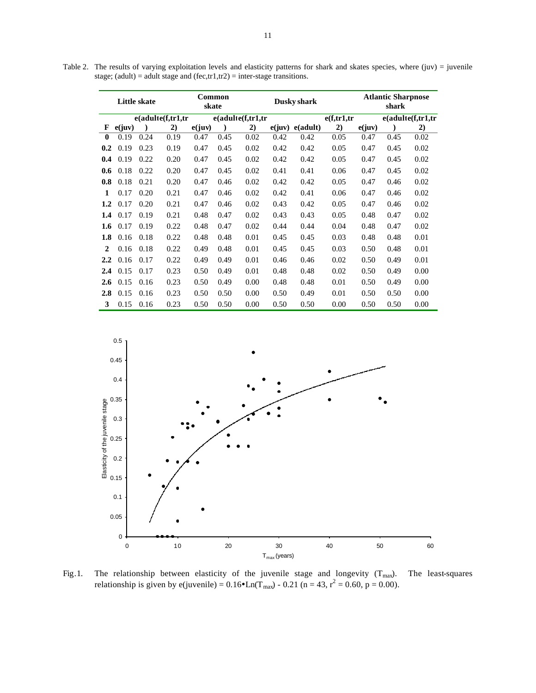Table 2. The results of varying exploitation levels and elasticity patterns for shark and skates species, where (juv) = juvenile stage; (adult) = adult stage and (fec,tr1,tr2) = inter-stage transitions.

|                  | <b>Little skate</b> |      |                    | Common<br>skate |      | Dusky shark      |        | <b>Atlantic Sharpnose</b><br>shark |             |        |      |                  |
|------------------|---------------------|------|--------------------|-----------------|------|------------------|--------|------------------------------------|-------------|--------|------|------------------|
|                  |                     |      | e(adultef, tr1, tr |                 |      | e(adultef,tr1,tr |        |                                    | e(f,tr1,tr) |        |      | e(adultef,tr1,tr |
| F                | e(juv)              |      | 2)                 | e(iuv)          |      | 2)               | e(iuv) | e(adult)                           | 2)          | e(iuv) |      | 2)               |
| $\mathbf{0}$     | 0.19                | 0.24 | 0.19               | 0.47            | 0.45 | 0.02             | 0.42   | 0.42                               | 0.05        | 0.47   | 0.45 | 0.02             |
| 0.2              | 0.19                | 0.23 | 0.19               | 0.47            | 0.45 | 0.02             | 0.42   | 0.42                               | 0.05        | 0.47   | 0.45 | 0.02             |
| 0.4              | 0.19                | 0.22 | 0.20               | 0.47            | 0.45 | 0.02             | 0.42   | 0.42                               | 0.05        | 0.47   | 0.45 | 0.02             |
| 0.6              | 0.18                | 0.22 | 0.20               | 0.47            | 0.45 | 0.02             | 0.41   | 0.41                               | 0.06        | 0.47   | 0.45 | 0.02             |
| 0.8              | 0.18                | 0.21 | 0.20               | 0.47            | 0.46 | 0.02             | 0.42   | 0.42                               | 0.05        | 0.47   | 0.46 | 0.02             |
| 1                | 0.17                | 0.20 | 0.21               | 0.47            | 0.46 | 0.02             | 0.42   | 0.41                               | 0.06        | 0.47   | 0.46 | 0.02             |
| $1.2\,$          | 0.17                | 0.20 | 0.21               | 0.47            | 0.46 | 0.02             | 0.43   | 0.42                               | 0.05        | 0.47   | 0.46 | 0.02             |
| 1.4              | 0.17                | 0.19 | 0.21               | 0.48            | 0.47 | 0.02             | 0.43   | 0.43                               | 0.05        | 0.48   | 0.47 | 0.02             |
| 1.6              | 0.17                | 0.19 | 0.22               | 0.48            | 0.47 | 0.02             | 0.44   | 0.44                               | 0.04        | 0.48   | 0.47 | 0.02             |
| 1.8              | 0.16                | 0.18 | 0.22               | 0.48            | 0.48 | 0.01             | 0.45   | 0.45                               | 0.03        | 0.48   | 0.48 | 0.01             |
| $\mathbf{2}$     | 0.16                | 0.18 | 0.22               | 0.49            | 0.48 | 0.01             | 0.45   | 0.45                               | 0.03        | 0.50   | 0.48 | 0.01             |
| $2.2\phantom{0}$ | 0.16                | 0.17 | 0.22               | 0.49            | 0.49 | 0.01             | 0.46   | 0.46                               | 0.02        | 0.50   | 0.49 | 0.01             |
| 2.4              | 0.15                | 0.17 | 0.23               | 0.50            | 0.49 | 0.01             | 0.48   | 0.48                               | 0.02        | 0.50   | 0.49 | 0.00             |
| 2.6              | 0.15                | 0.16 | 0.23               | 0.50            | 0.49 | 0.00             | 0.48   | 0.48                               | 0.01        | 0.50   | 0.49 | 0.00             |
| 2.8              | 0.15                | 0.16 | 0.23               | 0.50            | 0.50 | 0.00             | 0.50   | 0.49                               | 0.01        | 0.50   | 0.50 | 0.00             |
| 3                | 0.15                | 0.16 | 0.23               | 0.50            | 0.50 | 0.00             | 0.50   | 0.50                               | 0.00        | 0.50   | 0.50 | 0.00             |



Fig.1. The relationship between elasticity of the juvenile stage and longevity  $(T_{max})$ . The least-squares relationship is given by e(juvenile) =  $0.16 \bullet$  Ln(T<sub>max</sub>) -  $0.21$  (n = 43, r<sup>2</sup> = 0.60, p = 0.00).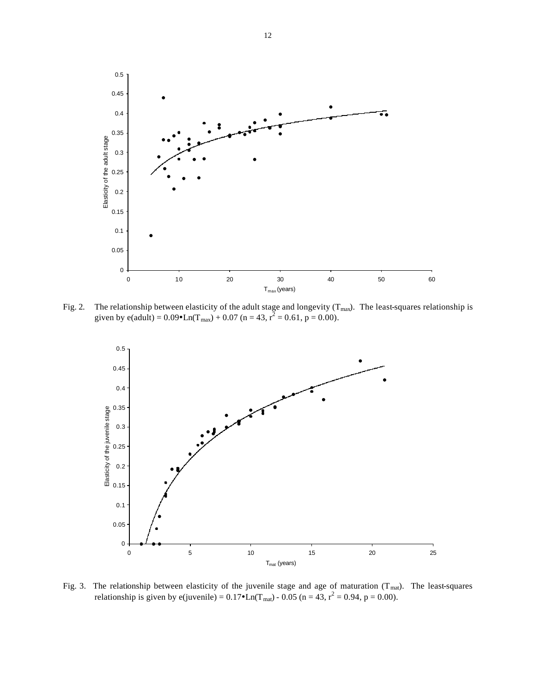

Fig. 2. The relationship between elasticity of the adult stage and longevity  $(T_{max})$ . The least-squares relationship is given by e(adult) =  $0.09 \bullet$ Ln(T<sub>max</sub>) + 0.07 (n = 43, r<sup>2</sup> = 0.61, p = 0.00).



Fig. 3. The relationship between elasticity of the juvenile stage and age of maturation  $(T_{\text{mat}})$ . The least-squares relationship is given by e(juvenile) =  $0.17 \cdot \text{Ln}(T_{\text{mat}})$  -  $0.05$  (n = 43, r<sup>2</sup> = 0.94, p = 0.00).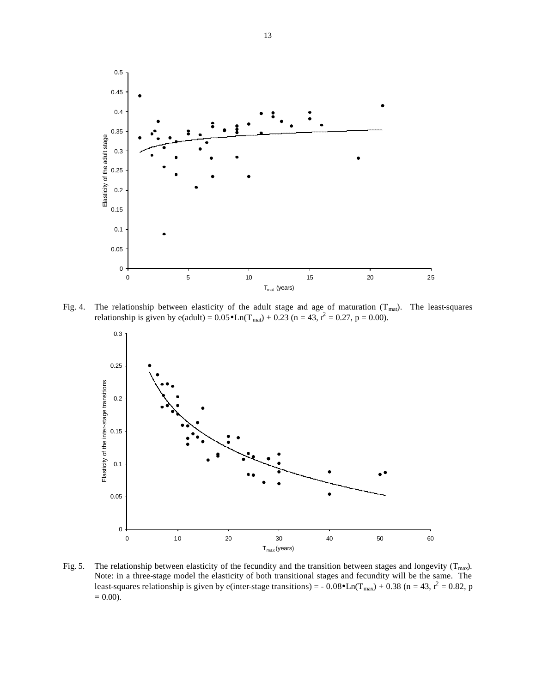

Fig. 4. The relationship between elasticity of the adult stage and age of maturation ( $T<sub>mat</sub>$ ). The least-squares relationship is given by e(adult) =  $0.05 \bullet$  Ln(T<sub>mat</sub>) + 0.23 (n = 43, r<sup>2</sup> = 0.27, p = 0.00).



Fig. 5. The relationship between elasticity of the fecundity and the transition between stages and longevity ( $T_{max}$ ). Note: in a three-stage model the elasticity of both transitional stages and fecundity will be the same. The least-squares relationship is given by e(inter-stage transitions) = -  $0.08 \bullet$  Ln(T<sub>max</sub>) + 0.38 (n = 43, r<sup>2</sup> = 0.82, p  $= 0.00$ ).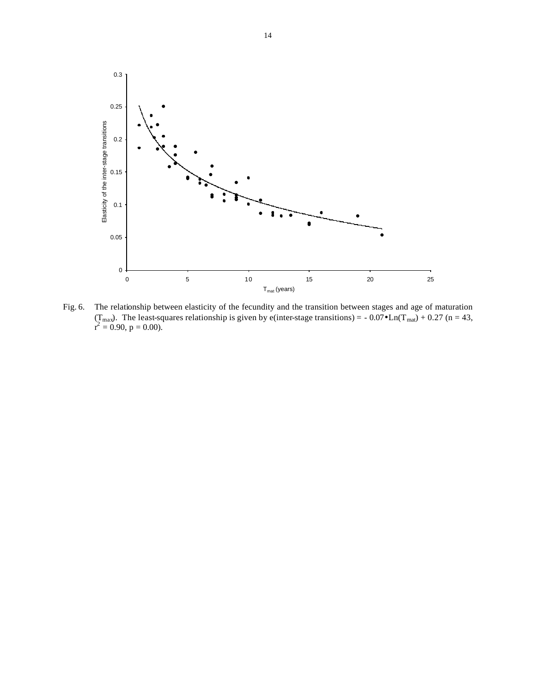

Fig. 6. The relationship between elasticity of the fecundity and the transition between stages and age of maturation (T<sub>max</sub>). The least-squares relationship is given by e(inter-stage transitions) = -0.07 $\bullet$ Ln(T<sub>mat</sub>) +0.27 (n = 43,  $r^2 = 0.90$ , p = 0.00).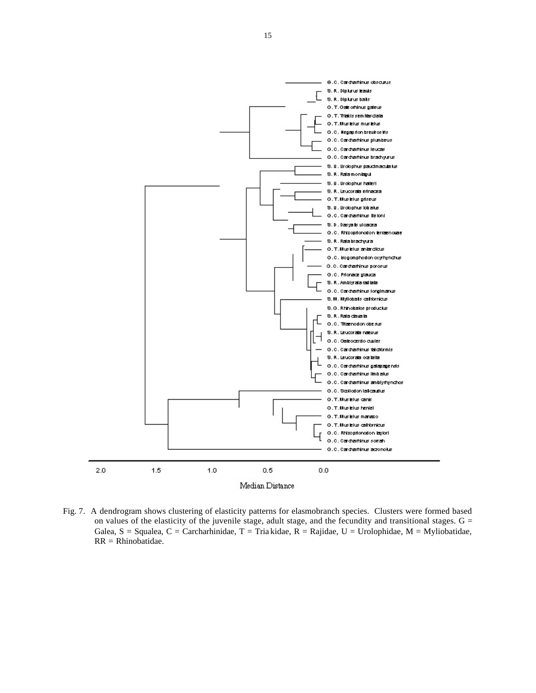

Fig. 7. A dendrogram shows clustering of elasticity patterns for elasmobranch species. Clusters were formed based on values of the elasticity of the juvenile stage, adult stage, and the fecundity and transitional stages.  $G =$ Galea, S = Squalea, C = Carcharhinidae, T = Tria kidae, R = Rajidae, U = Urolophidae, M = Myliobatidae, RR = Rhinobatidae.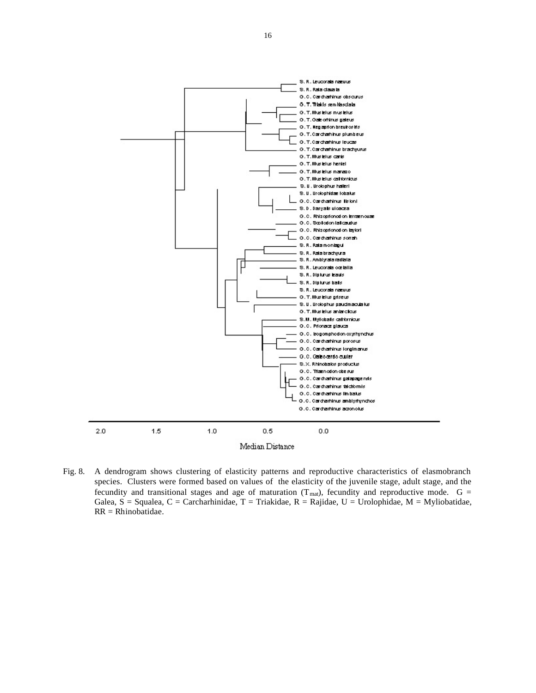



Fig. 8. A dendrogram shows clustering of elasticity patterns and reproductive characteristics of elasmobranch species. Clusters were formed based on values of the elasticity of the juvenile stage, adult stage, and the fecundity and transitional stages and age of maturation  $(T_{\text{mat}})$ , fecundity and reproductive mode.  $G =$ Galea, S = Squalea, C = Carcharhinidae, T = Triakidae, R = Rajidae, U = Urolophidae, M = Myliobatidae, RR = Rhinobatidae.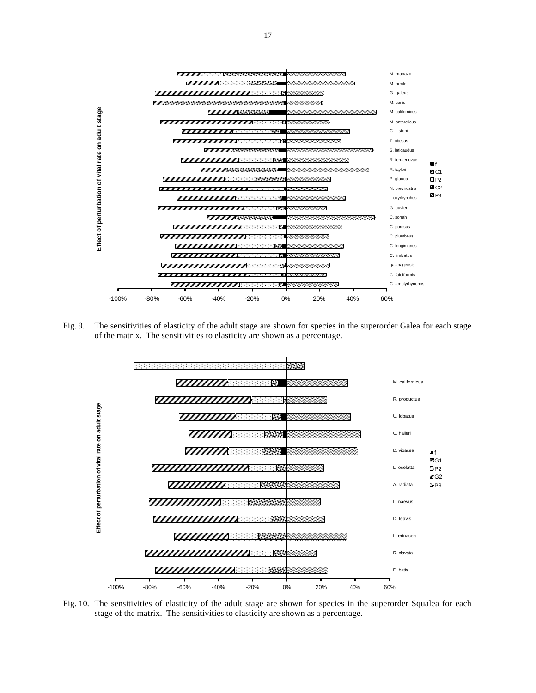

Fig. 9. The sensitivities of elasticity of the adult stage are shown for species in the superorder Galea for each stage of the matrix. The sensitivities to elasticity are shown as a percentage.



Fig. 10. The sensitivities of elasticity of the adult stage are shown for species in the superorder Squalea for each stage of the matrix. The sensitivities to elasticity are shown as a percentage.